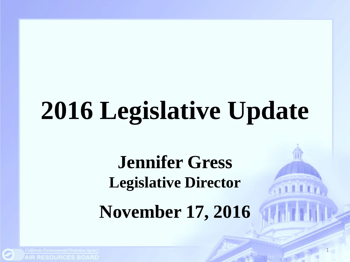# **2016 Legislative Update**

**Jennifer Gress Legislative Director**

**November 17, 2016**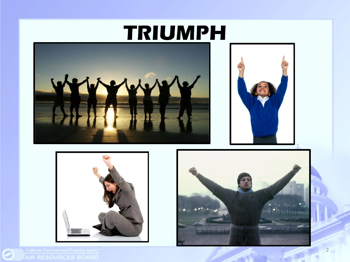#### **TRIUMPH**









Ø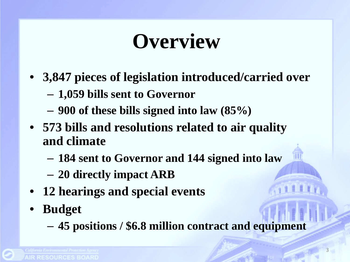### **Overview**

- **3,847 pieces of legislation introduced/carried over**
	- **1,059 bills sent to Governor**
	- **900 of these bills signed into law (85%)**
- **573 bills and resolutions related to air quality and climate**
	- **184 sent to Governor and 144 signed into law**
	- **20 directly impact ARB**
- **12 hearings and special events**
- **Budget**
	- **45 positions / \$6.8 million contract and equipment**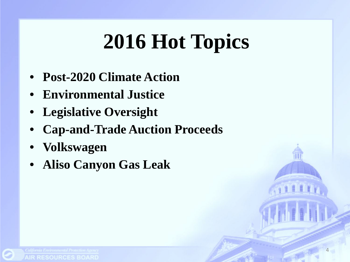# **2016 Hot Topics**

- **Post-2020 Climate Action**
- **Environmental Justice**
- **Legislative Oversight**
- **Cap-and-Trade Auction Proceeds**
- **Volkswagen**
- **Aliso Canyon Gas Leak**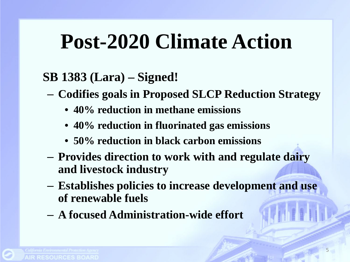### **Post-2020 Climate Action**

#### **SB 1383 (Lara) – Signed!**

- **Codifies goals in Proposed SLCP Reduction Strategy**
	- **40% reduction in methane emissions**
	- **40% reduction in fluorinated gas emissions**
	- **50% reduction in black carbon emissions**
- **Provides direction to work with and regulate dairy and livestock industry**
- **Establishes policies to increase development and use of renewable fuels**
- **A focused Administration-wide effort**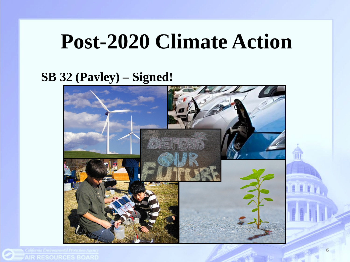#### **Post-2020 Climate Action**

#### **SB 32 (Pavley) – Signed!**

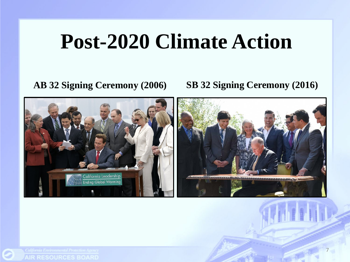#### **Post-2020 Climate Action**

**AB 32 Signing Ceremony (2006) SB 32 Signing Ceremony (2016)**

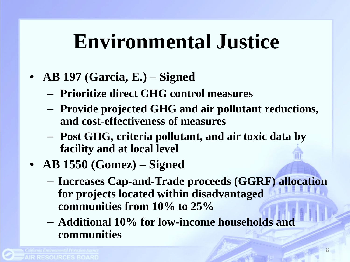#### **Environmental Justice**

- **AB 197 (Garcia, E.) – Signed**
	- **Prioritize direct GHG control measures**
	- **Provide projected GHG and air pollutant reductions, and cost-effectiveness of measures**
	- **Post GHG, criteria pollutant, and air toxic data by facility and at local level**
- **AB 1550 (Gomez) – Signed**
	- **Increases Cap-and-Trade proceeds (GGRF) allocation for projects located within disadvantaged communities from 10% to 25%**
	- **Additional 10% for low-income households and communities**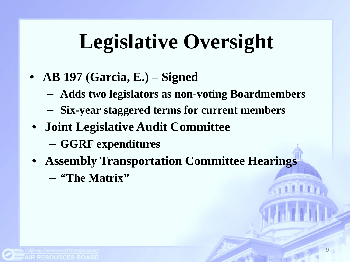# **Legislative Oversight**

- **AB 197 (Garcia, E.) – Signed**
	- **Adds two legislators as non-voting Boardmembers**
	- **Six-year staggered terms for current members**
- **Joint Legislative Audit Committee**
	- **GGRF expenditures**
- **Assembly Transportation Committee Hearings**
	- **"The Matrix"**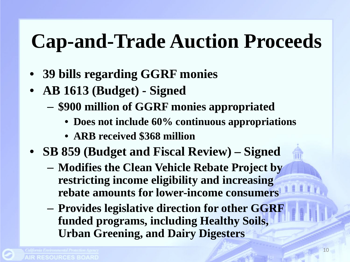#### **Cap-and-Trade Auction Proceeds**

- **39 bills regarding GGRF monies**
- **AB 1613 (Budget) - Signed**
	- **\$900 million of GGRF monies appropriated**
		- **Does not include 60% continuous appropriations**
		- **ARB received \$368 million**
- **SB 859 (Budget and Fiscal Review) – Signed**
	- **Modifies the Clean Vehicle Rebate Project by restricting income eligibility and increasing rebate amounts for lower-income consumers**
	- **Provides legislative direction for other GGRF funded programs, including Healthy Soils, Urban Greening, and Dairy Digesters**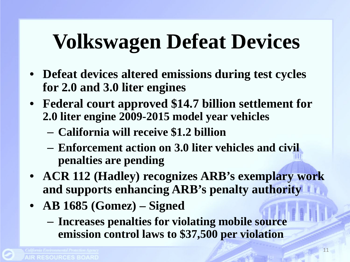# **Volkswagen Defeat Devices**

- **Defeat devices altered emissions during test cycles for 2.0 and 3.0 liter engines**
- **Federal court approved \$14.7 billion settlement for 2.0 liter engine 2009-2015 model year vehicles**
	- **California will receive \$1.2 billion**
	- **Enforcement action on 3.0 liter vehicles and civil penalties are pending**
- **ACR 112 (Hadley) recognizes ARB's exemplary work and supports enhancing ARB's penalty authority**
- **AB 1685 (Gomez) – Signed**
	- **Increases penalties for violating mobile source emission control laws to \$37,500 per violation**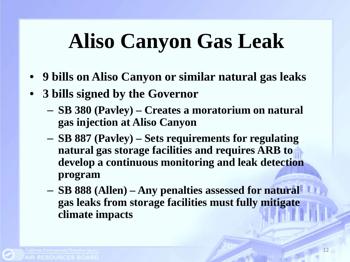# **Aliso Canyon Gas Leak**

- **9 bills on Aliso Canyon or similar natural gas leaks**
- **3 bills signed by the Governor**
	- **SB 380 (Pavley) – Creates a moratorium on natural gas injection at Aliso Canyon**
	- **SB 887 (Pavley) – Sets requirements for regulating natural gas storage facilities and requires ARB to develop a continuous monitoring and leak detection program**
	- **SB 888 (Allen) – Any penalties assessed for natural gas leaks from storage facilities must fully mitigate climate impacts**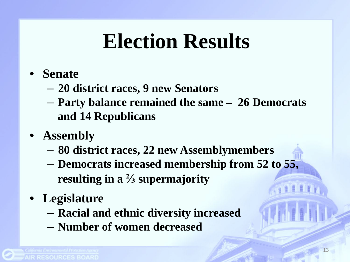### **Election Results**

- **Senate** 
	- **20 district races, 9 new Senators**
	- **Party balance remained the same 26 Democrats and 14 Republicans**
- **Assembly**
	- **80 district races, 22 new Assemblymembers**
	- **Democrats increased membership from 52 to 55, resulting in a ⅔ supermajority**
- **Legislature**
	- **Racial and ethnic diversity increased**
	- **Number of women decreased**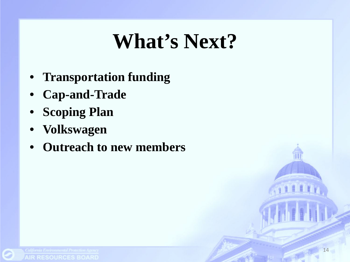### **What's Next?**

- **Transportation funding**
- **Cap-and-Trade**
- **Scoping Plan**
- **Volkswagen**
- **Outreach to new members**